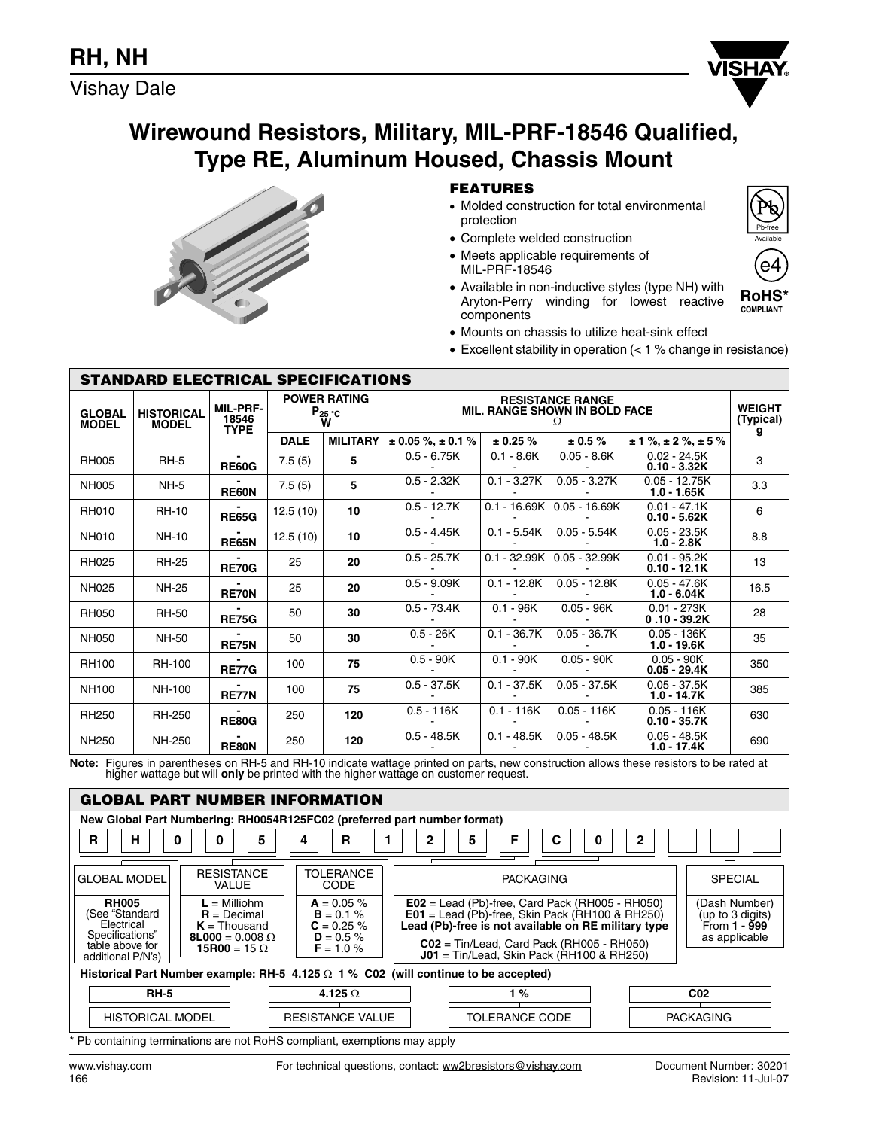Vishay Dale



# **Wirewound Resistors, Military, MIL-PRF-18546 Qualified, Type RE, Aluminum Housed, Chassis Mount**



**STANDARD ELECTRICAL SPECIFICATIONS**

## **FEATURES**

- Molded construction for total environmental protection
- Complete welded construction
- Meets applicable requirements of MIL-PRF-18546



**RoHS\* COMPLIANT** 

e4

- Available in non-inductive styles (type NH) with Aryton-Perry winding for lowest reactive components
- Mounts on chassis to utilize heat-sink effect
- Excellent stability in operation (< 1 % change in resistance)

| STANDAND ELECTNICAL SPECIFICATIONS |                                   |                                         |                                              |                 |                                                                      |                |                 |                                  |      |
|------------------------------------|-----------------------------------|-----------------------------------------|----------------------------------------------|-----------------|----------------------------------------------------------------------|----------------|-----------------|----------------------------------|------|
| <b>GLOBAL</b><br><b>MODEL</b>      | <b>HISTORICAL</b><br><b>MODEL</b> | <b>MIL-PRF-</b><br>18546<br><b>TYPE</b> | <b>POWER RATING</b><br>$P_{25}$ $\circ$<br>W |                 | <b>RESISTANCE RANGE</b><br><b>MIL. RANGE SHOWN IN BOLD FACE</b><br>Ω |                |                 |                                  |      |
|                                    |                                   |                                         | <b>DALE</b>                                  | <b>MILITARY</b> | $\pm$ 0.05 %, $\pm$ 0.1 %                                            | $\pm$ 0.25 %   | $\pm 0.5 \%$    | $\pm$ 1 %, $\pm$ 2 %, $\pm$ 5 %  | g    |
| <b>RH005</b>                       | $RH-5$                            | <b>RE60G</b>                            | 7.5(5)                                       | 5               | $0.5 - 6.75K$                                                        | $0.1 - 8.6K$   | $0.05 - 8.6K$   | $0.02 - 24.5K$<br>$0.10 - 3.32K$ | 3    |
| <b>NH005</b>                       | $NH-5$                            | <b>RE60N</b>                            | 7.5(5)                                       | 5               | $0.5 - 2.32K$                                                        | $0.1 - 3.27K$  | $0.05 - 3.27K$  | $0.05 - 12.75K$<br>$1.0 - 1.65K$ | 3.3  |
| <b>RH010</b>                       | <b>RH-10</b>                      | <b>RE65G</b>                            | 12.5(10)                                     | 10              | $0.5 - 12.7K$                                                        | $0.1 - 16.69K$ | $0.05 - 16.69K$ | $0.01 - 47.1K$<br>$0.10 - 5.62K$ | 6    |
| <b>NH010</b>                       | <b>NH-10</b>                      | <b>RE65N</b>                            | 12.5(10)                                     | 10              | $0.5 - 4.45K$                                                        | $0.1 - 5.54K$  | $0.05 - 5.54K$  | $0.05 - 23.5K$<br>$1.0 - 2.8K$   | 8.8  |
| <b>RH025</b>                       | <b>RH-25</b>                      | <b>RE70G</b>                            | 25                                           | 20              | $0.5 - 25.7K$                                                        | $0.1 - 32.99K$ | $0.05 - 32.99K$ | $0.01 - 95.2K$<br>$0.10 - 12.1K$ | 13   |
| NH025                              | <b>NH-25</b>                      | <b>RE70N</b>                            | 25                                           | 20              | $0.5 - 9.09K$                                                        | $0.1 - 12.8K$  | $0.05 - 12.8K$  | $0.05 - 47.6K$<br>$1.0 - 6.04K$  | 16.5 |
| <b>RH050</b>                       | <b>RH-50</b>                      | <b>RE75G</b>                            | 50                                           | 30              | $0.5 - 73.4K$                                                        | $0.1 - 96K$    | $0.05 - 96K$    | $0.01 - 273K$<br>$0.10 - 39.2K$  | 28   |
| <b>NH050</b>                       | NH-50                             | <b>RE75N</b>                            | 50                                           | 30              | $0.5 - 26K$                                                          | $0.1 - 36.7K$  | $0.05 - 36.7K$  | $0.05 - 136K$<br>$1.0 - 19.6K$   | 35   |
| <b>RH100</b>                       | <b>RH-100</b>                     | <b>RE77G</b>                            | 100                                          | 75              | $0.5 - 90K$                                                          | $0.1 - 90K$    | $0.05 - 90K$    | $0.05 - 90K$<br>$0.05 - 29.4K$   | 350  |
| <b>NH100</b>                       | NH-100                            | <b>RE77N</b>                            | 100                                          | 75              | $0.5 - 37.5K$                                                        | $0.1 - 37.5K$  | $0.05 - 37.5K$  | $0.05 - 37.5K$<br>$1.0 - 14.7K$  | 385  |
| <b>RH250</b>                       | <b>RH-250</b>                     | <b>RE80G</b>                            | 250                                          | 120             | $0.5 - 116K$                                                         | $0.1 - 116K$   | $0.05 - 116K$   | $0.05 - 116K$<br>$0.10 - 35.7K$  | 630  |
| <b>NH250</b>                       | NH-250                            | <b>RE80N</b>                            | 250                                          | 120             | $0.5 - 48.5K$                                                        | $0.1 - 48.5K$  | $0.05 - 48.5K$  | $0.05 - 48.5K$<br>$1.0 - 17.4K$  | 690  |

Note: Figures in parentheses on RH-5 and RH-10 indicate wattage printed on parts, new construction allows these resistors to be rated at<br>higher wattage but will only be printed with the higher wattage on customer request.



\* Pb containing terminations are not RoHS compliant, exemptions may apply

www.vishay.com For technical questions, contact: ww2bresistors@vishay.com Document Number: 30201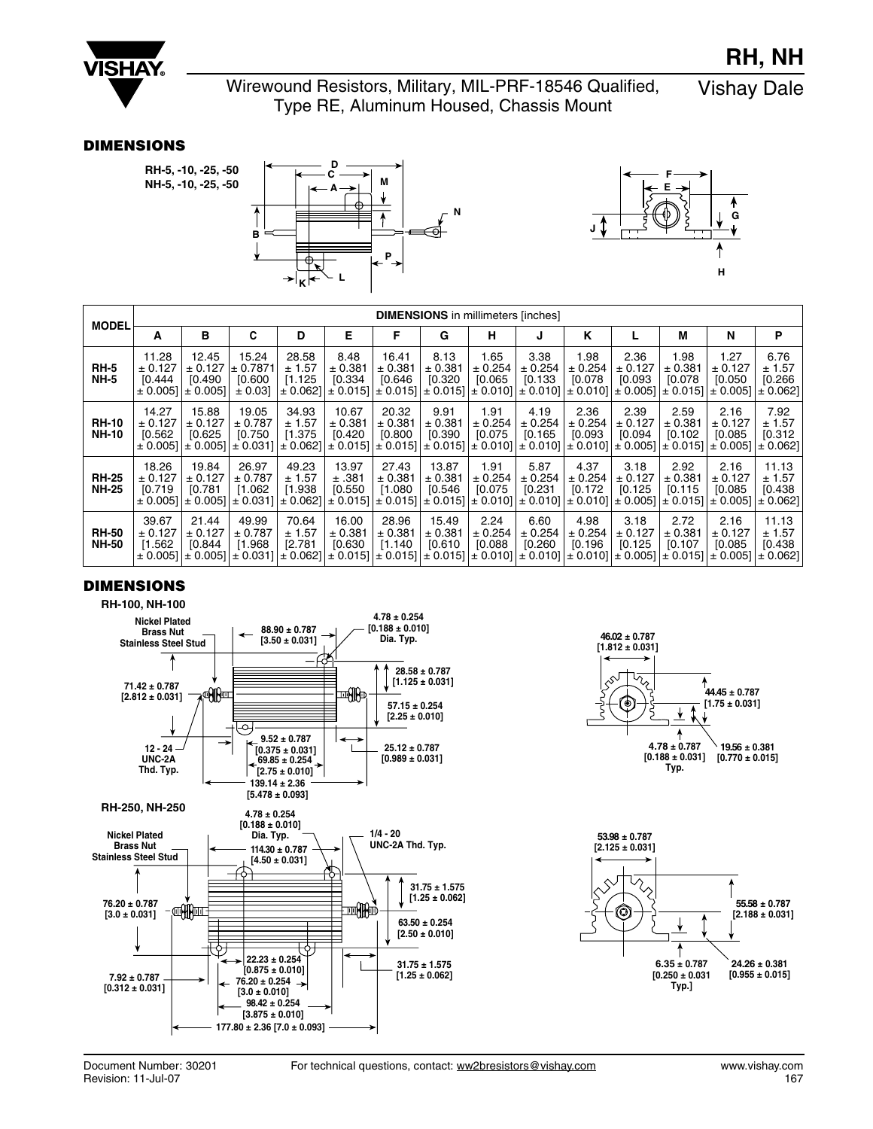

Wirewound Resistors, Military, MIL-PRF-18546 Qualified, ound Resistors, Military, MIL-PRF-18546 Qualified, Vishay Dale<br>Type RE, Aluminum Housed, Chassis Mount

#### **DIMENSIONS**

**RH-5, -10, -25, -50 NH-5, -10, -25, -50**





|                              | <b>DIMENSIONS</b> in millimeters [inches] |                                             |                                         |                            |                             |                                                                                                                                                                                                                                    |                             |                            |                            |                            |                            |                            |                            |                            |
|------------------------------|-------------------------------------------|---------------------------------------------|-----------------------------------------|----------------------------|-----------------------------|------------------------------------------------------------------------------------------------------------------------------------------------------------------------------------------------------------------------------------|-----------------------------|----------------------------|----------------------------|----------------------------|----------------------------|----------------------------|----------------------------|----------------------------|
| <b>MODEL</b>                 | A                                         | в                                           | C                                       | D                          | Е                           | F                                                                                                                                                                                                                                  | G                           | н                          | J                          | Κ                          | L                          | М                          | N                          | P                          |
| <b>RH-5</b><br><b>NH-5</b>   | 11.28<br>± 0.127<br>[0.444]<br>± 0.0051   | 12.45<br>± 0.127<br>[0.490]<br>$\pm 0.0051$ | 15.24<br>± 0.7871<br>[0.600]<br>± 0.031 | 28.58<br>± 1.57<br>[1.125] | 8.48<br>± 0.381<br>[0.334]  | 16.41<br>± 0.381<br>[0.646]<br>$\pm$ 0.062] $\pm$ 0.015] $\pm$ 0.015] $\pm$ 0.015] $\pm$ 0.010] $\pm$ 0.010] $\pm$ 0.010] $\pm$ 0.005] $\pm$ 0.005] $\pm$ 0.005] $\pm$ 0.0062]                                                     | 8.13<br>± 0.381<br>[0.320]  | 1.65<br>± 0.254<br>[0.065] | 3.38<br>± 0.254<br>[0.133] | 1.98<br>± 0.254<br>[0.078] | 2.36<br>± 0.127<br>[0.093] | 1.98<br>± 0.381<br>[0.078] | 1.27<br>± 0.127<br>[0.050] | 6.76<br>± 1.57<br>[0.266]  |
| <b>RH-10</b><br><b>NH-10</b> | 14.27<br>± 0.127<br>[0.562]               | 15.88<br>± 0.127<br>[0.625]                 | 19.05<br>± 0.787<br>[0.750]             | 34.93<br>± 1.57<br>[1.375] | 10.67<br>± 0.381<br>[0.420  | 20.32<br>± 0.381<br>[0.800]<br>$\pm$ 0.005] $\pm$ 0.005] $\pm$ 0.0031] $\pm$ 0.062] $\pm$ 0.015] $\pm$ 0.015] $\pm$ 0.015] $\pm$ 0.010] $\pm$ 0.010] $\pm$ 0.010] $\pm$ 0.005] $\pm$ 0.015] $\pm$ 0.005] $\pm$ 0.062]              | 9.91<br>± 0.381<br>[0.390]  | 1.91<br>± 0.254<br>[0.075] | 4.19<br>± 0.254<br>[0.165] | 2.36<br>± 0.254<br>[0.093] | 2.39<br>± 0.127<br>[0.094] | 2.59<br>± 0.381<br>[0.102] | 2.16<br>± 0.127<br>[0.085] | 7.92<br>± 1.57<br>[0.312]  |
| <b>RH-25</b><br><b>NH-25</b> | 18.26<br>± 0.127<br>[0.719]               | 19.84<br>± 0.127<br>IO.781                  | 26.97<br>± 0.787<br>[1.062]             | 49.23<br>± 1.57<br>[1.938] | 13.97<br>±.381<br>[0.550]   | 27.43<br>± 0.381<br>[1.080]<br>$\pm$ 0.005] $\pm$ 0.005] $\pm$ 0.0031] $\pm$ 0.062] $\pm$ 0.015] $\pm$ 0.015] $\pm$ 0.015] $\pm$ 0.010] $\pm$ 0.010] $\pm$ 0.010] $\pm$ 0.005] $\pm$ 0.015] $\pm$ 0.005] $\pm$ 0.005] $\pm$ 0.005] | 13.87<br>± 0.381<br>[0.546] | 1.91<br>± 0.254<br>[0.075] | 5.87<br>± 0.254<br>[0.231] | 4.37<br>± 0.254<br>[0.172] | 3.18<br>± 0.127<br>[0.125] | 2.92<br>± 0.381<br>[0.115] | 2.16<br>± 0.127<br>[0.085] | 11.13<br>± 1.57<br>[0.438] |
| <b>RH-50</b><br><b>NH-50</b> | 39.67<br>± 0.127<br>[1.562]               | 21.44<br>± 0.127<br>[0.844]                 | 49.99<br>± 0.787<br>[1.968]             | 70.64<br>± 1.57<br>[2.781] | 16.00<br>± 0.381<br>[0.630] | 28.96<br>± 0.381<br>[1.140]<br>$\pm$ 0.005] $\pm$ 0.005] $\pm$ 0.031] $\pm$ 0.062] $\pm$ 0.015] $\pm$ 0.015] $\pm$ 0.015] $\pm$ 0.010] $\pm$ 0.010] $\pm$ 0.010] $\pm$ 0.005] $\pm$ 0.015] $\pm$ 0.015] $\pm$ 0.005]               | 15.49<br>± 0.381<br>[0.610] | 2.24<br>± 0.254<br>[0.088] | 6.60<br>± 0.254<br>[0.260] | 4.98<br>± 0.254<br>[0.196] | 3.18<br>± 0.127<br>[0.125] | 2.72<br>± 0.381<br>[0.107] | 2.16<br>± 0.127<br>[0.085] | 11.13<br>± 1.57<br>[0.438] |

## **DIMENSIONS**

**RH-100, NH-100** 





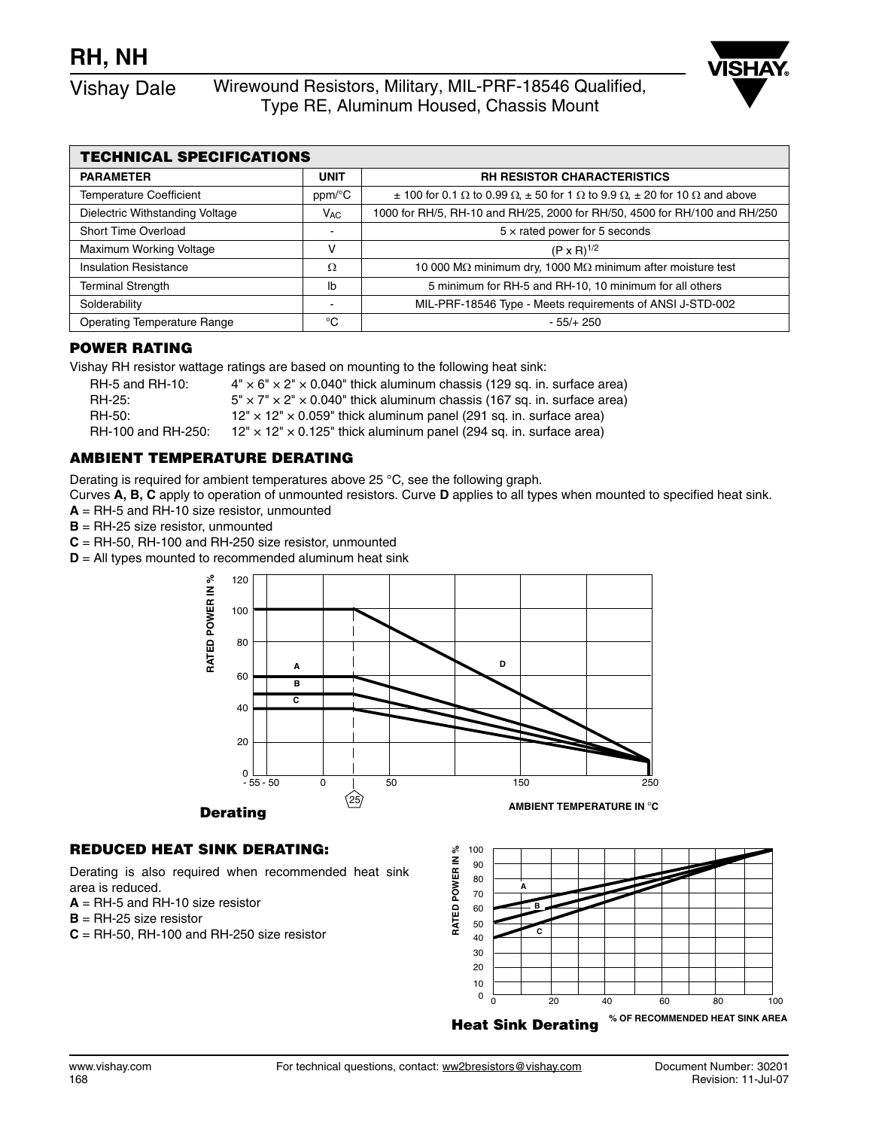Vishay Dale Wirewound Resistors, Military, MIL-PRF-18546 Qualified, Type RE, Aluminum Housed, Chassis Mount

| <b>TECHNICAL SPECIFICATIONS</b>    |                        |                                                                                                                            |  |  |  |  |
|------------------------------------|------------------------|----------------------------------------------------------------------------------------------------------------------------|--|--|--|--|
| <b>PARAMETER</b>                   | <b>UNIT</b>            | <b>RH RESISTOR CHARACTERISTICS</b>                                                                                         |  |  |  |  |
| <b>Temperature Coefficient</b>     | $ppm$ <sup>o</sup> $C$ | $\pm$ 100 for 0.1 $\Omega$ to 0.99 $\Omega$ , $\pm$ 50 for 1 $\Omega$ to 9.9 $\Omega$ , $\pm$ 20 for 10 $\Omega$ and above |  |  |  |  |
| Dielectric Withstanding Voltage    | $V_{AC}$               | 1000 for RH/5, RH-10 and RH/25, 2000 for RH/50, 4500 for RH/100 and RH/250                                                 |  |  |  |  |
| <b>Short Time Overload</b>         |                        | $5 \times$ rated power for 5 seconds                                                                                       |  |  |  |  |
| Maximum Working Voltage            | v                      | $(P \times R)^{1/2}$                                                                                                       |  |  |  |  |
| <b>Insulation Resistance</b>       | Ω                      | 10 000 MΩ minimum dry, 1000 MΩ minimum after moisture test                                                                 |  |  |  |  |
| <b>Terminal Strength</b>           | lb                     | 5 minimum for RH-5 and RH-10, 10 minimum for all others                                                                    |  |  |  |  |
| Solderability                      |                        | MIL-PRF-18546 Type - Meets requirements of ANSI J-STD-002                                                                  |  |  |  |  |
| <b>Operating Temperature Range</b> | °C                     | $-55/+250$                                                                                                                 |  |  |  |  |

## **POWER RATING**

Vishay RH resistor wattage ratings are based on mounting to the following heat sink:

| RH-5 and RH-10:    | $4'' \times 6'' \times 2'' \times 0.040''$ thick aluminum chassis (129 sq. in. surface area) |
|--------------------|----------------------------------------------------------------------------------------------|
| RH-25:             | $5" \times 7" \times 2" \times 0.040"$ thick aluminum chassis (167 sq. in. surface area)     |
| RH-50:             | $12" \times 12" \times 0.059"$ thick aluminum panel (291 sq. in. surface area)               |
| RH-100 and RH-250: | $12" \times 12" \times 0.125"$ thick aluminum panel (294 sq. in. surface area)               |

## **AMBIENT TEMPERATURE DERATING**

Derating is required for ambient temperatures above 25 °C, see the following graph.

Curves **A, B, C** apply to operation of unmounted resistors. Curve **D** applies to all types when mounted to specified heat sink. **A** = RH-5 and RH-10 size resistor, unmounted

**B** = RH-25 size resistor, unmounted

**C** = RH-50, RH-100 and RH-250 size resistor, unmounted

**D** = All types mounted to recommended aluminum heat sink



## **REDUCED HEAT SINK DERATING:**

Derating is also required when recommended heat sink area is reduced.

- **A** = RH-5 and RH-10 size resistor
- **B** = RH-25 size resistor
- **C** = RH-50, RH-100 and RH-250 size resistor